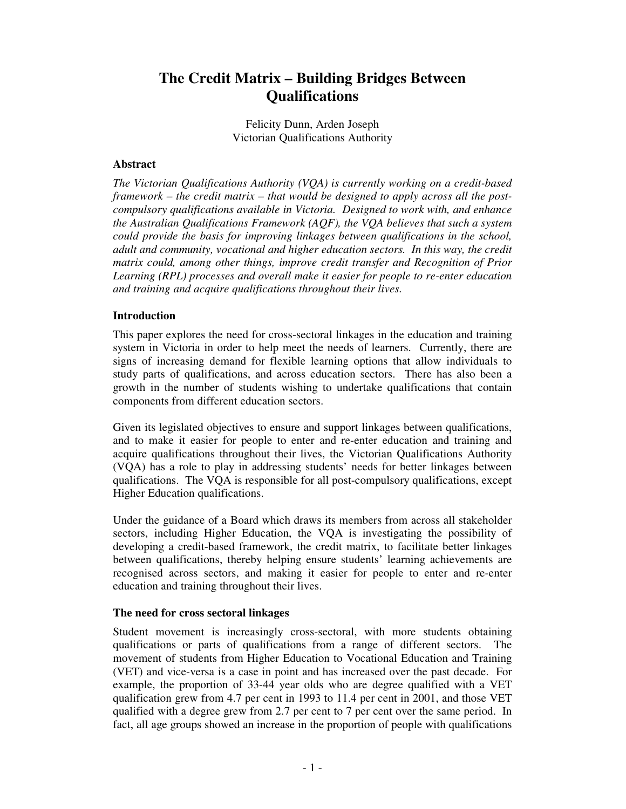# **The Credit Matrix – Building Bridges Between Qualifications**

Felicity Dunn, Arden Joseph Victorian Qualifications Authority

## **Abstract**

*The Victorian Qualifications Authority (VQA) is currently working on a credit-based framework – the credit matrix – that would be designed to apply across all the postcompulsory qualifications available in Victoria. Designed to work with, and enhance the Australian Qualifications Framework (AQF), the VQA believes that such a system could provide the basis for improving linkages between qualifications in the school, adult and community, vocational and higher education sectors. In this way, the credit matrix could, among other things, improve credit transfer and Recognition of Prior Learning (RPL) processes and overall make it easier for people to re-enter education and training and acquire qualifications throughout their lives.*

# **Introduction**

This paper explores the need for cross-sectoral linkages in the education and training system in Victoria in order to help meet the needs of learners. Currently, there are signs of increasing demand for flexible learning options that allow individuals to study parts of qualifications, and across education sectors. There has also been a growth in the number of students wishing to undertake qualifications that contain components from different education sectors.

Given its legislated objectives to ensure and support linkages between qualifications, and to make it easier for people to enter and re-enter education and training and acquire qualifications throughout their lives, the Victorian Qualifications Authority (VQA) has a role to play in addressing students' needs for better linkages between qualifications. The VQA is responsible for all post-compulsory qualifications, except Higher Education qualifications.

Under the guidance of a Board which draws its members from across all stakeholder sectors, including Higher Education, the VQA is investigating the possibility of developing a credit-based framework, the credit matrix, to facilitate better linkages between qualifications, thereby helping ensure students' learning achievements are recognised across sectors, and making it easier for people to enter and re-enter education and training throughout their lives.

## **The need for cross sectoral linkages**

Student movement is increasingly cross-sectoral, with more students obtaining qualifications or parts of qualifications from a range of different sectors. The movement of students from Higher Education to Vocational Education and Training (VET) and vice-versa is a case in point and has increased over the past decade. For example, the proportion of 33-44 year olds who are degree qualified with a VET qualification grew from 4.7 per cent in 1993 to 11.4 per cent in 2001, and those VET qualified with a degree grew from 2.7 per cent to 7 per cent over the same period. In fact, all age groups showed an increase in the proportion of people with qualifications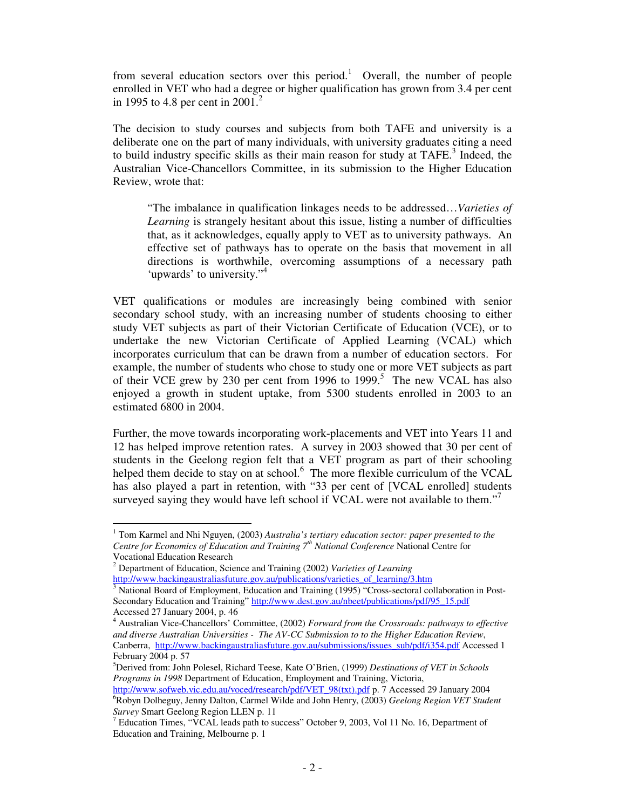from several education sectors over this period.<sup>1</sup> Overall, the number of people enrolled in VET who had a degree or higher qualification has grown from 3.4 per cent in 1995 to 4.8 per cent in 2001.<sup>2</sup>

The decision to study courses and subjects from both TAFE and university is a deliberate one on the part of many individuals, with university graduates citing a need to build industry specific skills as their main reason for study at TAFE.<sup>3</sup> Indeed, the Australian Vice-Chancellors Committee, in its submission to the Higher Education Review, wrote that:

"The imbalance in qualification linkages needs to be addressed…*Varieties of Learning* is strangely hesitant about this issue, listing a number of difficulties that, as it acknowledges, equally apply to VET as to university pathways. An effective set of pathways has to operate on the basis that movement in all directions is worthwhile, overcoming assumptions of a necessary path 'upwards' to university."<sup>4</sup>

VET qualifications or modules are increasingly being combined with senior secondary school study, with an increasing number of students choosing to either study VET subjects as part of their Victorian Certificate of Education (VCE), or to undertake the new Victorian Certificate of Applied Learning (VCAL) which incorporates curriculum that can be drawn from a number of education sectors. For example, the number of students who chose to study one or more VET subjects as part of their VCE grew by 230 per cent from 1996 to 1999. 5 The new VCAL has also enjoyed a growth in student uptake, from 5300 students enrolled in 2003 to an estimated 6800 in 2004.

Further, the move towards incorporating work-placements and VET into Years 11 and 12 has helped improve retention rates. A survey in 2003 showed that 30 per cent of students in the Geelong region felt that a VET program as part of their schooling helped them decide to stay on at school.<sup>6</sup> The more flexible curriculum of the VCAL has also played a part in retention, with "33 per cent of [VCAL enrolled] students surveyed saying they would have left school if VCAL were not available to them."<sup>7</sup>

<sup>1</sup> Tom Karmel and Nhi Nguyen, (2003) *Australia's tertiary education sector: paper presented to the Centre for Economics of Education and Training 7 th National Conference* National Centre for

Vocational Education Research

<sup>2</sup> Department of Education, Science and Training (2002) *Varieties of Learning* http://www.backingaustraliasfuture.gov.au/publications/varieties\_of\_learning/3.htm

<sup>3</sup> National Board of Employment, Education and Training (1995) "Cross-sectoral collaboration in Post-Secondary Education and Training" http://www.dest.gov.au/nbeet/publications/pdf/95\_15.pdf Accessed 27 January 2004, p. 46

<sup>4</sup> Australian Vice-Chancellors' Committee, (2002) *Forward from the Crossroads: pathways to effective and diverse Australian Universities - The AV-CC Submission to to the Higher Education Review*, Canberra, http://www.backingaustraliasfuture.gov.au/submissions/issues\_sub/pdf/i354.pdf Accessed 1 February 2004 p. 57

<sup>5</sup>Derived from: John Polesel, Richard Teese, Kate O'Brien, (1999) *Destinations of VET in Schools Programs in 1998* Department of Education, Employment and Training, Victoria,

http://www.sofweb.vic.edu.au/voced/research/pdf/VET\_98(txt).pdf p. 7 Accessed 29 January 2004 <sup>6</sup>Robyn Dolheguy, Jenny Dalton, Carmel Wilde and John Henry, (2003) *Geelong Region VET Student Survey* Smart Geelong Region LLEN p. 11

<sup>&</sup>lt;sup>7</sup> Education Times, "VCAL leads path to success" October 9, 2003, Vol 11 No. 16, Department of Education and Training, Melbourne p. 1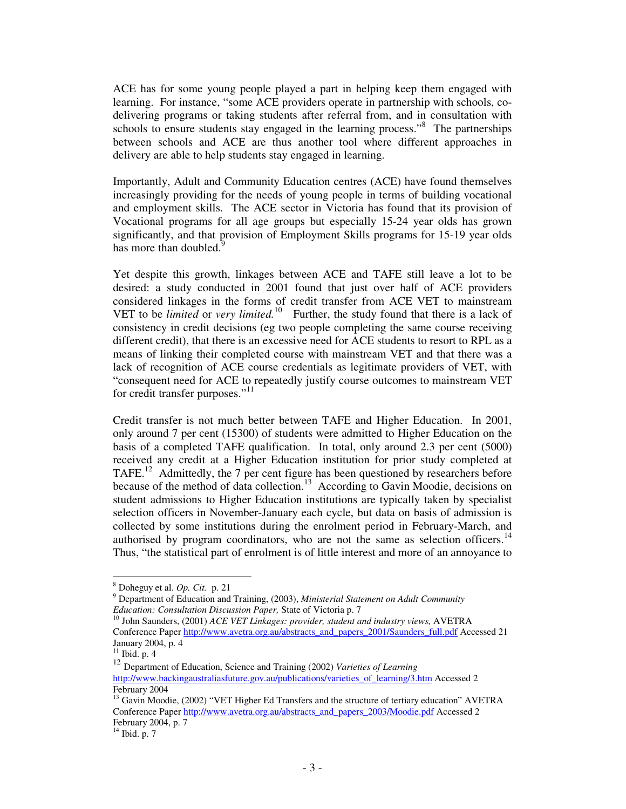ACE has for some young people played a part in helping keep them engaged with learning. For instance, "some ACE providers operate in partnership with schools, codelivering programs or taking students after referral from, and in consultation with schools to ensure students stay engaged in the learning process."<sup>8</sup> The partnerships between schools and ACE are thus another tool where different approaches in delivery are able to help students stay engaged in learning.

Importantly, Adult and Community Education centres (ACE) have found themselves increasingly providing for the needs of young people in terms of building vocational and employment skills. The ACE sector in Victoria has found that its provision of Vocational programs for all age groups but especially 15-24 year olds has grown significantly, and that provision of Employment Skills programs for 15-19 year olds has more than doubled.<sup>9</sup>

Yet despite this growth, linkages between ACE and TAFE still leave a lot to be desired: a study conducted in 2001 found that just over half of ACE providers considered linkages in the forms of credit transfer from ACE VET to mainstream VET to be *limited* or *very limited.* 10 Further, the study found that there is a lack of consistency in credit decisions (eg two people completing the same course receiving different credit), that there is an excessive need for ACE students to resort to RPL as a means of linking their completed course with mainstream VET and that there was a lack of recognition of ACE course credentials as legitimate providers of VET, with "consequent need for ACE to repeatedly justify course outcomes to mainstream VET for credit transfer purposes."<sup>11</sup>

Credit transfer is not much better between TAFE and Higher Education. In 2001, only around 7 per cent (15300) of students were admitted to Higher Education on the basis of a completed TAFE qualification. In total, only around 2.3 per cent (5000) received any credit at a Higher Education institution for prior study completed at TAFE.<sup>12</sup> Admittedly, the 7 per cent figure has been questioned by researchers before because of the method of data collection.<sup>13</sup> According to Gavin Moodie, decisions on student admissions to Higher Education institutions are typically taken by specialist selection officers in November-January each cycle, but data on basis of admission is collected by some institutions during the enrolment period in February-March, and authorised by program coordinators, who are not the same as selection officers.<sup>14</sup> Thus, "the statistical part of enrolment is of little interest and more of an annoyance to

<sup>8</sup> Doheguy et al. *Op. Cit.* p. 21

<sup>9</sup> Department of Education and Training, (2003), *Ministerial Statement on Adult Community Education: Consultation Discussion Paper,* State of Victoria p. 7

<sup>10</sup> John Saunders, (2001) *ACE VET Linkages: provider, student and industry views,* AVETRA Conference Paper http://www.avetra.org.au/abstracts\_and\_papers\_2001/Saunders\_full.pdf Accessed 21 January 2004, p. 4 11 Ibid. p. 4

<sup>12</sup> Department of Education, Science and Training (2002) *Varieties of Learning* http://www.backingaustraliasfuture.gov.au/publications/varieties\_of\_learning/3.htm Accessed 2 February 2004

<sup>&</sup>lt;sup>13</sup> Gavin Moodie, (2002) "VET Higher Ed Transfers and the structure of tertiary education" AVETRA Conference Paper http://www.avetra.org.au/abstracts\_and\_papers\_2003/Moodie.pdf Accessed 2 February 2004, p. 7

 $14$  Ibid. p. 7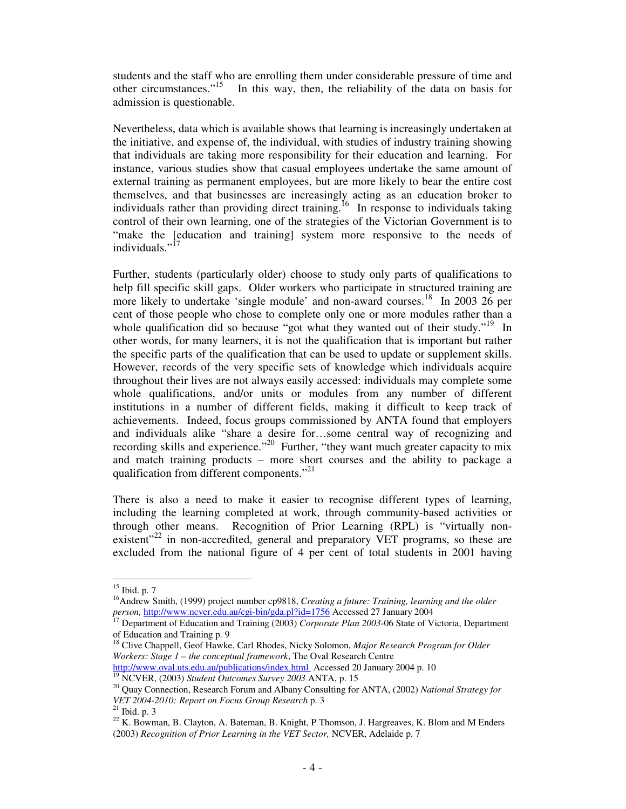students and the staff who are enrolling them under considerable pressure of time and other circumstances."<sup>15</sup> In this way, then, the reliability of the data on basis for admission is questionable.

Nevertheless, data which is available shows that learning is increasingly undertaken at the initiative, and expense of, the individual, with studies of industry training showing that individuals are taking more responsibility for their education and learning. For instance, various studies show that casual employees undertake the same amount of external training as permanent employees, but are more likely to bear the entire cost themselves, and that businesses are increasingly acting as an education broker to individuals rather than providing direct training.<sup>16</sup> In response to individuals taking control of their own learning, one of the strategies of the Victorian Government is to "make the [education and training] system more responsive to the needs of individuals."<sup>17</sup>

Further, students (particularly older) choose to study only parts of qualifications to help fill specific skill gaps. Older workers who participate in structured training are more likely to undertake 'single module' and non-award courses.<sup>18</sup> In 2003 26 per cent of those people who chose to complete only one or more modules rather than a whole qualification did so because "got what they wanted out of their study."<sup>19</sup> In other words, for many learners, it is not the qualification that is important but rather the specific parts of the qualification that can be used to update or supplement skills. However, records of the very specific sets of knowledge which individuals acquire throughout their lives are not always easily accessed: individuals may complete some whole qualifications, and/or units or modules from any number of different institutions in a number of different fields, making it difficult to keep track of achievements. Indeed, focus groups commissioned by ANTA found that employers and individuals alike "share a desire for…some central way of recognizing and recording skills and experience."<sup>20</sup> Further, "they want much greater capacity to mix and match training products – more short courses and the ability to package a qualification from different components."<sup>21</sup>

There is also a need to make it easier to recognise different types of learning, including the learning completed at work, through community-based activities or through other means. Recognition of Prior Learning (RPL) is "virtually nonexistent"<sup>22</sup> in non-accredited, general and preparatory VET programs, so these are excluded from the national figure of 4 per cent of total students in 2001 having

 $15$  Ibid. p. 7

<sup>16</sup>Andrew Smith, (1999) project number cp9818, *Creating a future: Training, learning and the older person,* http://www.ncver.edu.au/cgi-bin/gda.pl?id=1756 Accessed 27 January 2004

<sup>17</sup> Department of Education and Training (2003) *Corporate Plan 2003-*06 State of Victoria, Department of Education and Training p. 9

<sup>18</sup> Clive Chappell, Geof Hawke, Carl Rhodes, Nicky Solomon, *Major Research Program for Older Workers: Stage 1 – the conceptual framework*, The Oval Research Centre http://www.oval.uts.edu.au/publications/index.html Accessed 20 January 2004 p. 10

<sup>19</sup> NCVER, (2003) *Student Outcomes Survey 2003* ANTA, p. 15

<sup>20</sup> Quay Connection, Research Forum and Albany Consulting for ANTA, (2002) *National Strategy for VET 2004-2010: Report on Focus Group Research* p. 3

 $21$  Ibid. p. 3

<sup>&</sup>lt;sup>22</sup> K. Bowman, B. Clayton, A. Bateman, B. Knight, P Thomson, J. Hargreaves, K. Blom and M Enders (2003) *Recognition of Prior Learning in the VET Sector,* NCVER, Adelaide p. 7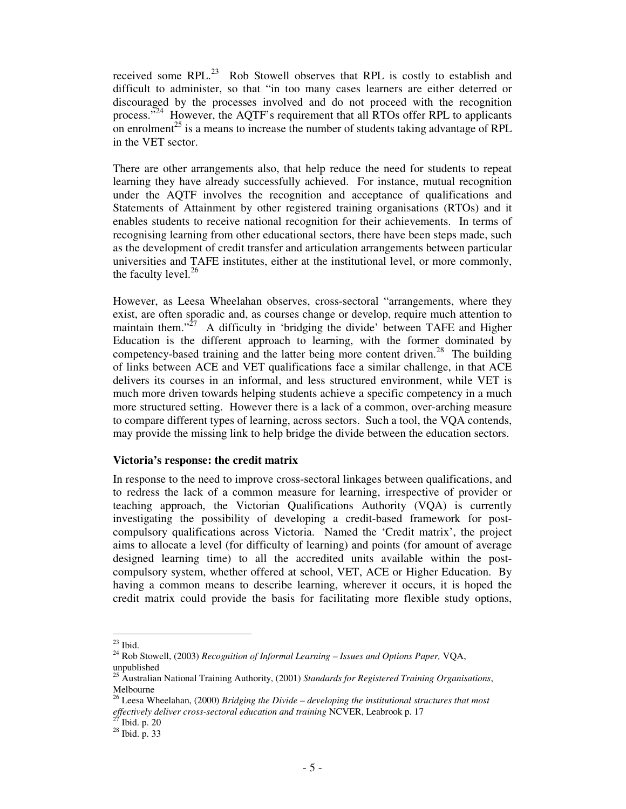received some  $RPL<sup>23</sup>$  Rob Stowell observes that RPL is costly to establish and difficult to administer, so that "in too many cases learners are either deterred or discouraged by the processes involved and do not proceed with the recognition process."<sup>24</sup> However, the AQTF's requirement that all RTOs offer RPL to applicants on enrolment<sup>25</sup> is a means to increase the number of students taking advantage of RPL in the VET sector.

There are other arrangements also, that help reduce the need for students to repeat learning they have already successfully achieved. For instance, mutual recognition under the AQTF involves the recognition and acceptance of qualifications and Statements of Attainment by other registered training organisations (RTOs) and it enables students to receive national recognition for their achievements. In terms of recognising learning from other educational sectors, there have been steps made, such as the development of credit transfer and articulation arrangements between particular universities and TAFE institutes, either at the institutional level, or more commonly, the faculty level.<sup>26</sup>

However, as Leesa Wheelahan observes, cross-sectoral "arrangements, where they exist, are often sporadic and, as courses change or develop, require much attention to maintain them."<sup>27</sup> A difficulty in 'bridging the divide' between TAFE and Higher Education is the different approach to learning, with the former dominated by competency-based training and the latter being more content driven.<sup>28</sup> The building of links between ACE and VET qualifications face a similar challenge, in that ACE delivers its courses in an informal, and less structured environment, while VET is much more driven towards helping students achieve a specific competency in a much more structured setting. However there is a lack of a common, over-arching measure to compare different types of learning, across sectors. Such a tool, the VQA contends, may provide the missing link to help bridge the divide between the education sectors.

#### **Victoria's response: the credit matrix**

In response to the need to improve cross-sectoral linkages between qualifications, and to redress the lack of a common measure for learning, irrespective of provider or teaching approach, the Victorian Qualifications Authority (VQA) is currently investigating the possibility of developing a credit-based framework for postcompulsory qualifications across Victoria. Named the 'Credit matrix', the project aims to allocate a level (for difficulty of learning) and points (for amount of average designed learning time) to all the accredited units available within the postcompulsory system, whether offered at school, VET, ACE or Higher Education. By having a common means to describe learning, wherever it occurs, it is hoped the credit matrix could provide the basis for facilitating more flexible study options,

 $^{23}$  Ibid.

<sup>24</sup> Rob Stowell, (2003) *Recognition of Informal Learning – Issues and Options Paper,* VQA, unpublished

<sup>25</sup> Australian National Training Authority, (2001) *Standards for Registered Training Organisations*, Melbourne

<sup>26</sup> Leesa Wheelahan, (2000) *Bridging the Divide – developing the institutional structures that most effectively deliver cross-sectoral education and training* NCVER, Leabrook p. 17 27

Ibid. p. 20

 $28$  Ibid. p. 33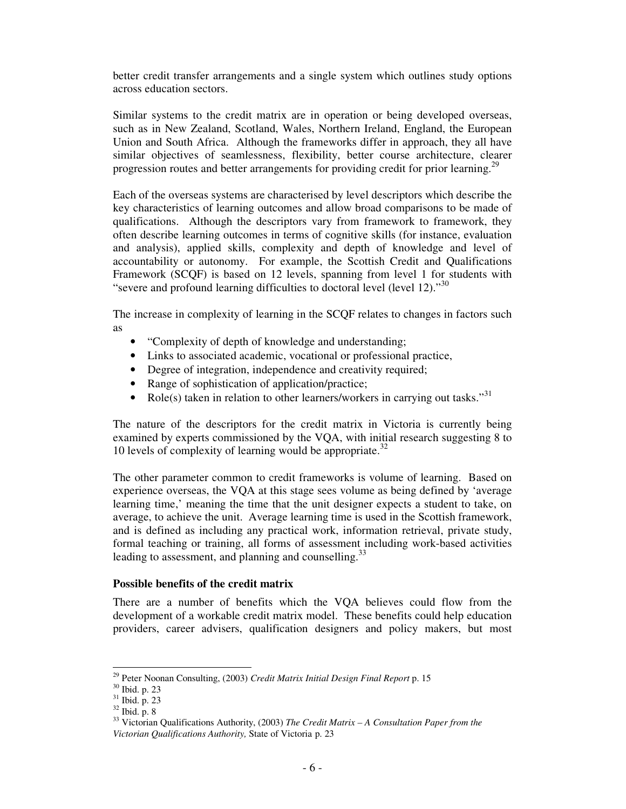better credit transfer arrangements and a single system which outlines study options across education sectors.

Similar systems to the credit matrix are in operation or being developed overseas, such as in New Zealand, Scotland, Wales, Northern Ireland, England, the European Union and South Africa. Although the frameworks differ in approach, they all have similar objectives of seamlessness, flexibility, better course architecture, clearer progression routes and better arrangements for providing credit for prior learning.<sup>29</sup>

Each of the overseas systems are characterised by level descriptors which describe the key characteristics of learning outcomes and allow broad comparisons to be made of qualifications. Although the descriptors vary from framework to framework, they often describe learning outcomes in terms of cognitive skills (for instance, evaluation and analysis), applied skills, complexity and depth of knowledge and level of accountability or autonomy. For example, the Scottish Credit and Qualifications Framework (SCQF) is based on 12 levels, spanning from level 1 for students with "severe and profound learning difficulties to doctoral level (level 12)."<sup>30</sup>

The increase in complexity of learning in the SCQF relates to changes in factors such as

- "Complexity of depth of knowledge and understanding;
- Links to associated academic, vocational or professional practice,
- Degree of integration, independence and creativity required;
- Range of sophistication of application/practice;
- Role(s) taken in relation to other learners/workers in carrying out tasks."<sup>31</sup>

The nature of the descriptors for the credit matrix in Victoria is currently being examined by experts commissioned by the VQA, with initial research suggesting 8 to 10 levels of complexity of learning would be appropriate. 32

The other parameter common to credit frameworks is volume of learning. Based on experience overseas, the VQA at this stage sees volume as being defined by 'average learning time,' meaning the time that the unit designer expects a student to take, on average, to achieve the unit. Average learning time is used in the Scottish framework, and is defined as including any practical work, information retrieval, private study, formal teaching or training, all forms of assessment including work-based activities leading to assessment, and planning and counselling.<sup>33</sup>

## **Possible benefits of the credit matrix**

There are a number of benefits which the VQA believes could flow from the development of a workable credit matrix model. These benefits could help education providers, career advisers, qualification designers and policy makers, but most

<sup>29</sup> Peter Noonan Consulting, (2003) *Credit Matrix Initial Design Final Report* p. 15

<sup>30</sup> Ibid. p. 23

<sup>31</sup> Ibid. p. 23

 $32$  Ibid. p. 8

<sup>33</sup> Victorian Qualifications Authority, (2003) *The Credit Matrix – A Consultation Paper from the Victorian Qualifications Authority,* State of Victoria p. 23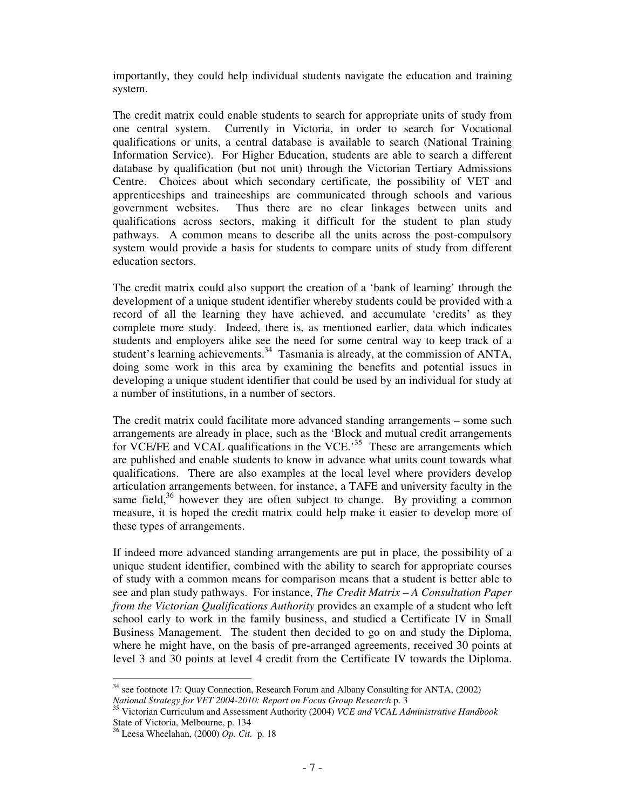importantly, they could help individual students navigate the education and training system.

The credit matrix could enable students to search for appropriate units of study from one central system. Currently in Victoria, in order to search for Vocational qualifications or units, a central database is available to search (National Training Information Service). For Higher Education, students are able to search a different database by qualification (but not unit) through the Victorian Tertiary Admissions Centre. Choices about which secondary certificate, the possibility of VET and apprenticeships and traineeships are communicated through schools and various government websites. Thus there are no clear linkages between units and qualifications across sectors, making it difficult for the student to plan study pathways. A common means to describe all the units across the post-compulsory system would provide a basis for students to compare units of study from different education sectors.

The credit matrix could also support the creation of a 'bank of learning' through the development of a unique student identifier whereby students could be provided with a record of all the learning they have achieved, and accumulate 'credits' as they complete more study. Indeed, there is, as mentioned earlier, data which indicates students and employers alike see the need for some central way to keep track of a student's learning achievements.<sup>34</sup> Tasmania is already, at the commission of ANTA, doing some work in this area by examining the benefits and potential issues in developing a unique student identifier that could be used by an individual for study at a number of institutions, in a number of sectors.

The credit matrix could facilitate more advanced standing arrangements – some such arrangements are already in place, such as the 'Block and mutual credit arrangements for VCE/FE and VCAL qualifications in the VCE.<sup>35</sup> These are arrangements which are published and enable students to know in advance what units count towards what qualifications. There are also examples at the local level where providers develop articulation arrangements between, for instance, a TAFE and university faculty in the same field,<sup>36</sup> however they are often subject to change. By providing a common measure, it is hoped the credit matrix could help make it easier to develop more of these types of arrangements.

If indeed more advanced standing arrangements are put in place, the possibility of a unique student identifier, combined with the ability to search for appropriate courses of study with a common means for comparison means that a student is better able to see and plan study pathways. For instance, *The Credit Matrix – A Consultation Paper from the Victorian Qualifications Authority* provides an example of a student who left school early to work in the family business, and studied a Certificate IV in Small Business Management. The student then decided to go on and study the Diploma, where he might have, on the basis of pre-arranged agreements, received 30 points at level 3 and 30 points at level 4 credit from the Certificate IV towards the Diploma.

<sup>&</sup>lt;sup>34</sup> see footnote 17: Quay Connection, Research Forum and Albany Consulting for ANTA, (2002) *National Strategy for VET 2004-2010: Report on Focus Group Research* p. 3

<sup>35</sup> Victorian Curriculum and Assessment Authority (2004) *VCE and VCAL Administrative Handbook* State of Victoria, Melbourne, p. 134

<sup>36</sup> Leesa Wheelahan, (2000) *Op. Cit.* p. 18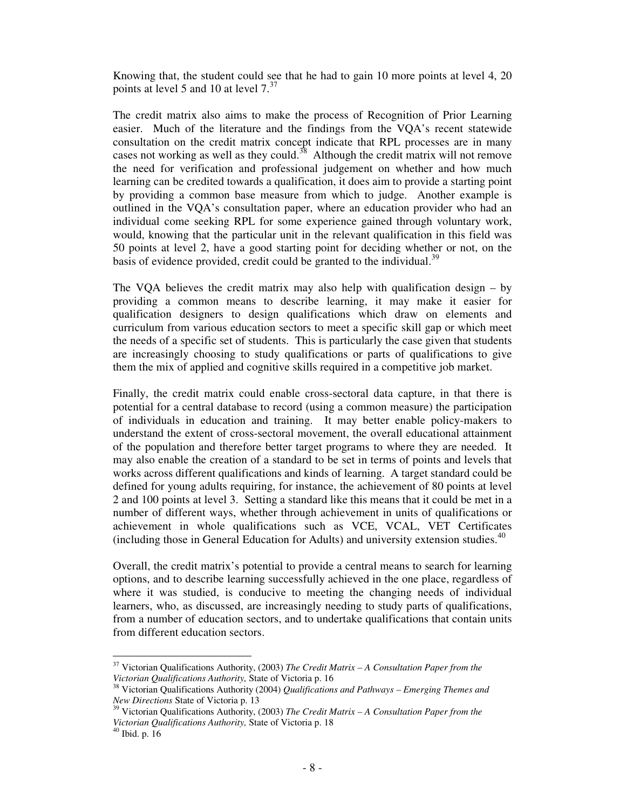Knowing that, the student could see that he had to gain 10 more points at level 4, 20 points at level 5 and 10 at level 7.<sup>37</sup>

The credit matrix also aims to make the process of Recognition of Prior Learning easier. Much of the literature and the findings from the VQA's recent statewide consultation on the credit matrix concept indicate that RPL processes are in many cases not working as well as they could.<sup>38</sup> Although the credit matrix will not remove the need for verification and professional judgement on whether and how much learning can be credited towards a qualification, it does aim to provide a starting point by providing a common base measure from which to judge. Another example is outlined in the VQA's consultation paper, where an education provider who had an individual come seeking RPL for some experience gained through voluntary work, would, knowing that the particular unit in the relevant qualification in this field was 50 points at level 2, have a good starting point for deciding whether or not, on the basis of evidence provided, credit could be granted to the individual.<sup>39</sup>

The VQA believes the credit matrix may also help with qualification design – by providing a common means to describe learning, it may make it easier for qualification designers to design qualifications which draw on elements and curriculum from various education sectors to meet a specific skill gap or which meet the needs of a specific set of students. This is particularly the case given that students are increasingly choosing to study qualifications or parts of qualifications to give them the mix of applied and cognitive skills required in a competitive job market.

Finally, the credit matrix could enable cross-sectoral data capture, in that there is potential for a central database to record (using a common measure) the participation of individuals in education and training. It may better enable policy-makers to understand the extent of cross-sectoral movement, the overall educational attainment of the population and therefore better target programs to where they are needed. It may also enable the creation of a standard to be set in terms of points and levels that works across different qualifications and kinds of learning. A target standard could be defined for young adults requiring, for instance, the achievement of 80 points at level 2 and 100 points at level 3. Setting a standard like this means that it could be met in a number of different ways, whether through achievement in units of qualifications or achievement in whole qualifications such as VCE, VCAL, VET Certificates (including those in General Education for Adults) and university extension studies. 40

Overall, the credit matrix's potential to provide a central means to search for learning options, and to describe learning successfully achieved in the one place, regardless of where it was studied, is conducive to meeting the changing needs of individual learners, who, as discussed, are increasingly needing to study parts of qualifications, from a number of education sectors, and to undertake qualifications that contain units from different education sectors.

<sup>37</sup> Victorian Qualifications Authority, (2003) *The Credit Matrix – A Consultation Paper from the Victorian Qualifications Authority,* State of Victoria p. 16

<sup>38</sup> Victorian Qualifications Authority (2004) *Qualifications and Pathways – Emerging Themes and New Directions* State of Victoria p. 13

<sup>39</sup> Victorian Qualifications Authority, (2003) *The Credit Matrix – A Consultation Paper from the Victorian Qualifications Authority,* State of Victoria p. 18

 $40$  Ibid. p. 16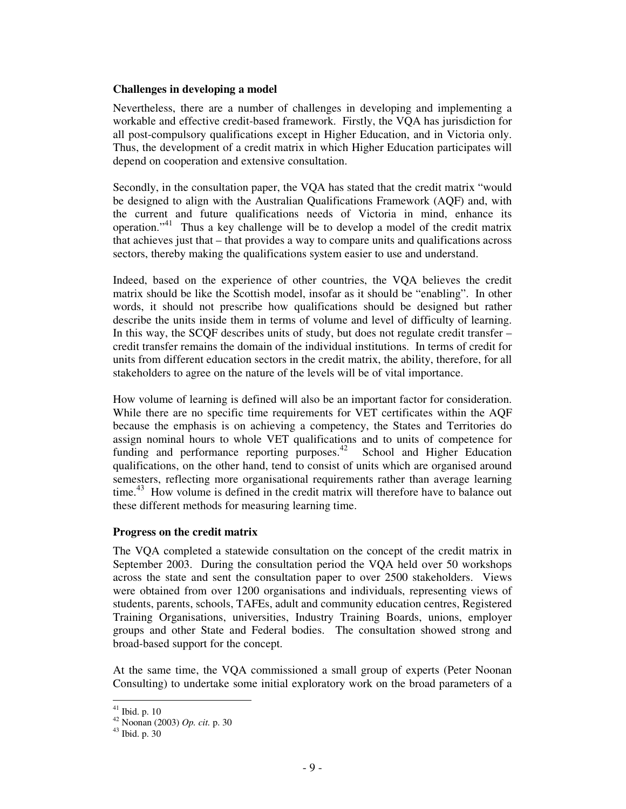#### **Challenges in developing a model**

Nevertheless, there are a number of challenges in developing and implementing a workable and effective credit-based framework. Firstly, the VQA has jurisdiction for all post-compulsory qualifications except in Higher Education, and in Victoria only. Thus, the development of a credit matrix in which Higher Education participates will depend on cooperation and extensive consultation.

Secondly, in the consultation paper, the VQA has stated that the credit matrix "would be designed to align with the Australian Qualifications Framework (AQF) and, with the current and future qualifications needs of Victoria in mind, enhance its operation." 41 Thus a key challenge will be to develop a model of the credit matrix that achieves just that – that provides a way to compare units and qualifications across sectors, thereby making the qualifications system easier to use and understand.

Indeed, based on the experience of other countries, the VQA believes the credit matrix should be like the Scottish model, insofar as it should be "enabling". In other words, it should not prescribe how qualifications should be designed but rather describe the units inside them in terms of volume and level of difficulty of learning. In this way, the SCQF describes units of study, but does not regulate credit transfer – credit transfer remains the domain of the individual institutions. In terms of credit for units from different education sectors in the credit matrix, the ability, therefore, for all stakeholders to agree on the nature of the levels will be of vital importance.

How volume of learning is defined will also be an important factor for consideration. While there are no specific time requirements for VET certificates within the AQF because the emphasis is on achieving a competency, the States and Territories do assign nominal hours to whole VET qualifications and to units of competence for funding and performance reporting purposes.<sup>42</sup> School and Higher Education qualifications, on the other hand, tend to consist of units which are organised around semesters, reflecting more organisational requirements rather than average learning time.<sup>43</sup> How volume is defined in the credit matrix will therefore have to balance out these different methods for measuring learning time.

## **Progress on the credit matrix**

The VQA completed a statewide consultation on the concept of the credit matrix in September 2003. During the consultation period the VQA held over 50 workshops across the state and sent the consultation paper to over 2500 stakeholders. Views were obtained from over 1200 organisations and individuals, representing views of students, parents, schools, TAFEs, adult and community education centres, Registered Training Organisations, universities, Industry Training Boards, unions, employer groups and other State and Federal bodies. The consultation showed strong and broad-based support for the concept.

At the same time, the VQA commissioned a small group of experts (Peter Noonan Consulting) to undertake some initial exploratory work on the broad parameters of a

 $41$  Ibid. p. 10

<sup>42</sup> Noonan (2003) *Op. cit.* p. 30

<sup>43</sup> Ibid. p. 30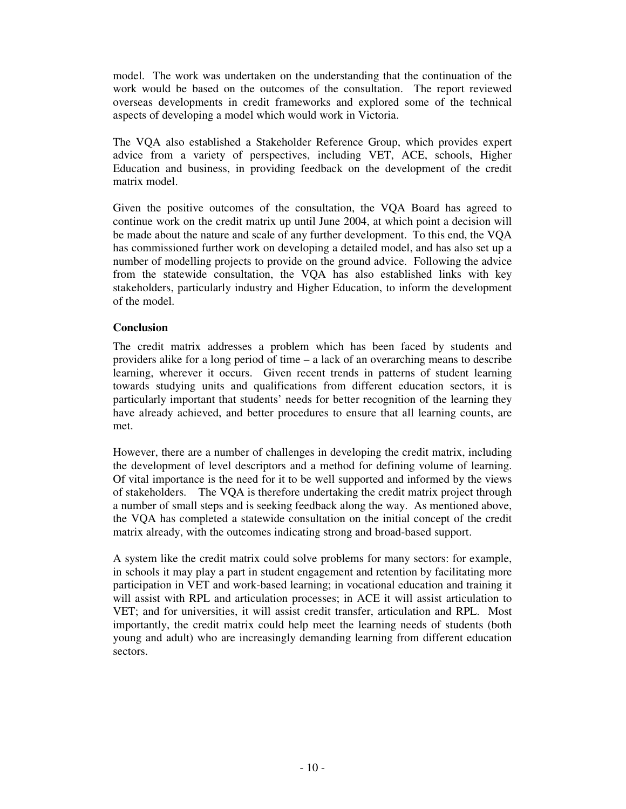model. The work was undertaken on the understanding that the continuation of the work would be based on the outcomes of the consultation. The report reviewed overseas developments in credit frameworks and explored some of the technical aspects of developing a model which would work in Victoria.

The VQA also established a Stakeholder Reference Group, which provides expert advice from a variety of perspectives, including VET, ACE, schools, Higher Education and business, in providing feedback on the development of the credit matrix model.

Given the positive outcomes of the consultation, the VQA Board has agreed to continue work on the credit matrix up until June 2004, at which point a decision will be made about the nature and scale of any further development. To this end, the VQA has commissioned further work on developing a detailed model, and has also set up a number of modelling projects to provide on the ground advice. Following the advice from the statewide consultation, the VQA has also established links with key stakeholders, particularly industry and Higher Education, to inform the development of the model.

# **Conclusion**

The credit matrix addresses a problem which has been faced by students and providers alike for a long period of time – a lack of an overarching means to describe learning, wherever it occurs. Given recent trends in patterns of student learning towards studying units and qualifications from different education sectors, it is particularly important that students' needs for better recognition of the learning they have already achieved, and better procedures to ensure that all learning counts, are met.

However, there are a number of challenges in developing the credit matrix, including the development of level descriptors and a method for defining volume of learning. Of vital importance is the need for it to be well supported and informed by the views of stakeholders. The VQA is therefore undertaking the credit matrix project through a number of small steps and is seeking feedback along the way. As mentioned above, the VQA has completed a statewide consultation on the initial concept of the credit matrix already, with the outcomes indicating strong and broad-based support.

A system like the credit matrix could solve problems for many sectors: for example, in schools it may play a part in student engagement and retention by facilitating more participation in VET and work-based learning; in vocational education and training it will assist with RPL and articulation processes; in ACE it will assist articulation to VET; and for universities, it will assist credit transfer, articulation and RPL. Most importantly, the credit matrix could help meet the learning needs of students (both young and adult) who are increasingly demanding learning from different education sectors.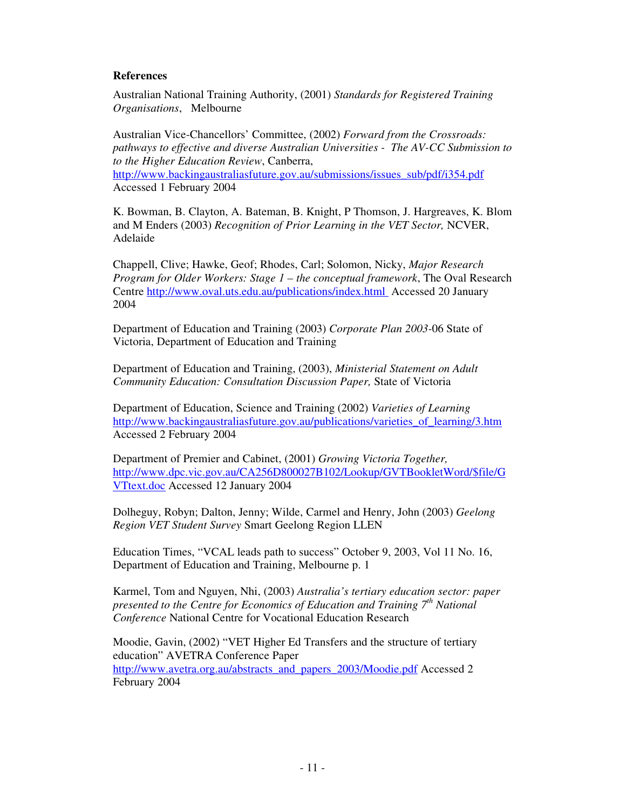## **References**

Australian National Training Authority, (2001) *Standards for Registered Training Organisations*, Melbourne

Australian Vice-Chancellors' Committee, (2002) *Forward from the Crossroads: pathways to effective and diverse Australian Universities - The AV-CC Submission to to the Higher Education Review*, Canberra, http://www.backingaustraliasfuture.gov.au/submissions/issues\_sub/pdf/i354.pdf Accessed 1 February 2004

K. Bowman, B. Clayton, A. Bateman, B. Knight, P Thomson, J. Hargreaves, K. Blom and M Enders (2003) *Recognition of Prior Learning in the VET Sector,* NCVER, Adelaide

Chappell, Clive; Hawke, Geof; Rhodes, Carl; Solomon, Nicky, *Major Research Program for Older Workers: Stage 1 – the conceptual framework*, The Oval Research Centre http://www.oval.uts.edu.au/publications/index.html Accessed 20 January 2004

Department of Education and Training (2003) *Corporate Plan 2003-*06 State of Victoria, Department of Education and Training

Department of Education and Training, (2003), *Ministerial Statement on Adult Community Education: Consultation Discussion Paper,* State of Victoria

Department of Education, Science and Training (2002) *Varieties of Learning* http://www.backingaustraliasfuture.gov.au/publications/varieties\_of\_learning/3.htm Accessed 2 February 2004

Department of Premier and Cabinet, (2001) *Growing Victoria Together,* http://www.dpc.vic.gov.au/CA256D800027B102/Lookup/GVTBookletWord/\$file/G VTtext.doc Accessed 12 January 2004

Dolheguy, Robyn; Dalton, Jenny; Wilde, Carmel and Henry, John (2003) *Geelong Region VET Student Survey* Smart Geelong Region LLEN

Education Times, "VCAL leads path to success" October 9, 2003, Vol 11 No. 16, Department of Education and Training, Melbourne p. 1

Karmel, Tom and Nguyen, Nhi, (2003) *Australia's tertiary education sector: paper presented to the Centre for Economics of Education and Training 7 th National Conference* National Centre for Vocational Education Research

Moodie, Gavin, (2002) "VET Higher Ed Transfers and the structure of tertiary education" AVETRA Conference Paper http://www.avetra.org.au/abstracts\_and\_papers\_2003/Moodie.pdf Accessed 2 February 2004